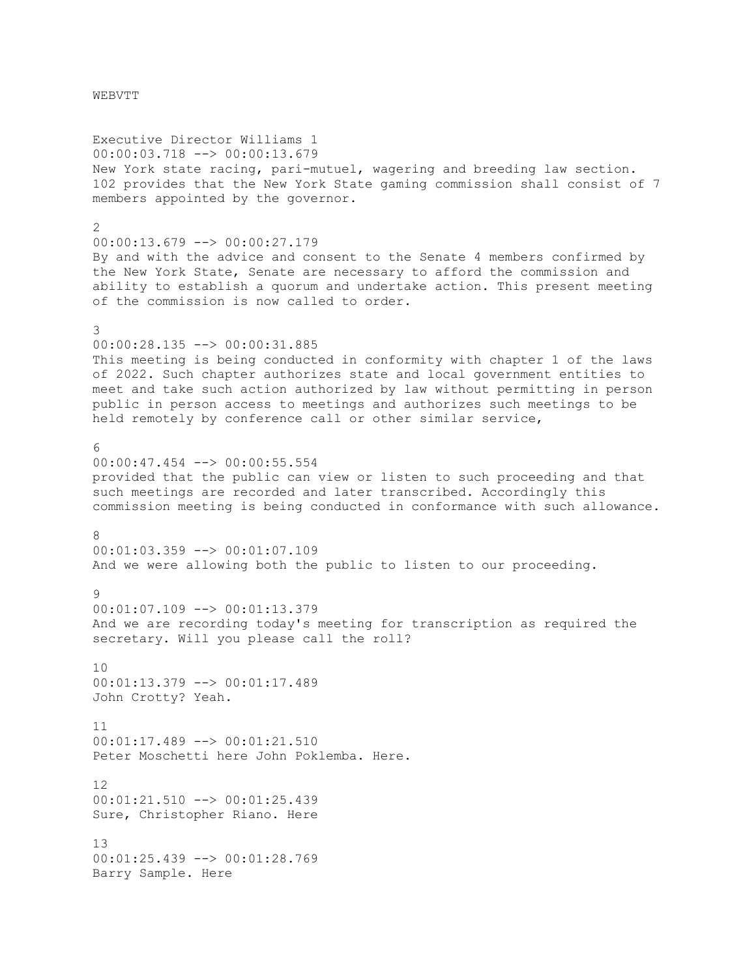Executive Director Williams 1 00:00:03.718 --> 00:00:13.679 New York state racing, pari-mutuel, wagering and breeding law section. 102 provides that the New York State gaming commission shall consist of 7 members appointed by the governor.  $\mathcal{L}$ 00:00:13.679 --> 00:00:27.179 By and with the advice and consent to the Senate 4 members confirmed by the New York State, Senate are necessary to afford the commission and ability to establish a quorum and undertake action. This present meeting of the commission is now called to order. 3 00:00:28.135 --> 00:00:31.885 This meeting is being conducted in conformity with chapter 1 of the laws of 2022. Such chapter authorizes state and local government entities to meet and take such action authorized by law without permitting in person public in person access to meetings and authorizes such meetings to be held remotely by conference call or other similar service,  $\kappa$ 00:00:47.454 --> 00:00:55.554 provided that the public can view or listen to such proceeding and that such meetings are recorded and later transcribed. Accordingly this commission meeting is being conducted in conformance with such allowance.  $\Omega$ 00:01:03.359 --> 00:01:07.109 And we were allowing both the public to listen to our proceeding.  $Q$ 00:01:07.109 --> 00:01:13.379 And we are recording today's meeting for transcription as required the secretary. Will you please call the roll? 10 00:01:13.379 --> 00:01:17.489 John Crotty? Yeah. 11 00:01:17.489 --> 00:01:21.510 Peter Moschetti here John Poklemba. Here. 12 00:01:21.510 --> 00:01:25.439 Sure, Christopher Riano. Here 13 00:01:25.439 --> 00:01:28.769 Barry Sample. Here

WEBVTT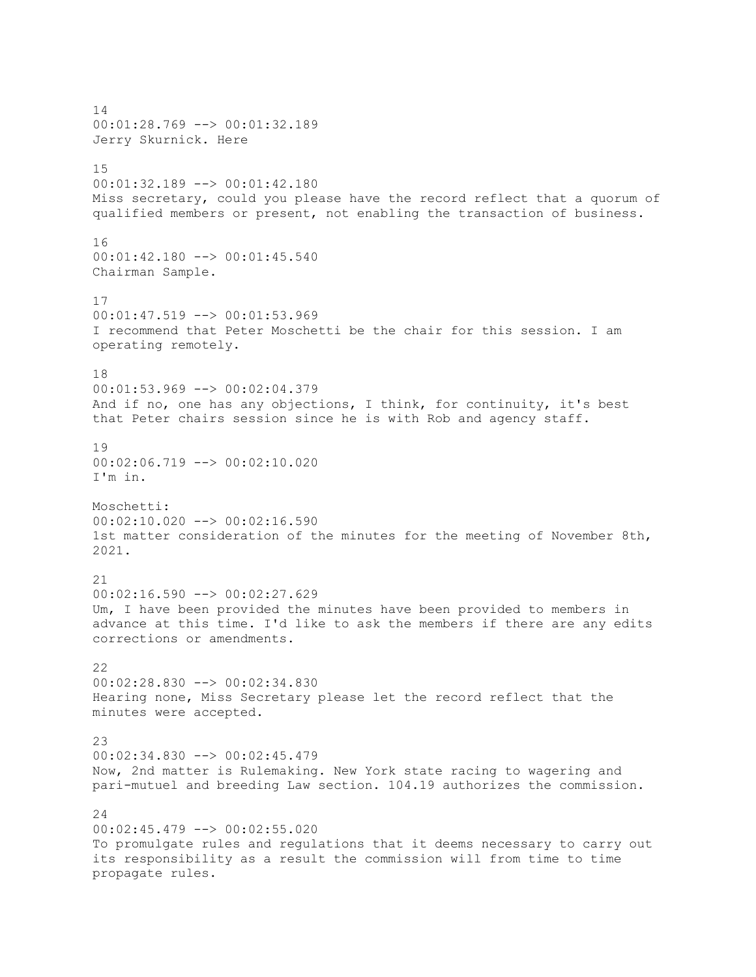14 00:01:28.769 --> 00:01:32.189 Jerry Skurnick. Here 15 00:01:32.189 --> 00:01:42.180 Miss secretary, could you please have the record reflect that a quorum of qualified members or present, not enabling the transaction of business. 16 00:01:42.180 --> 00:01:45.540 Chairman Sample. 17 00:01:47.519 --> 00:01:53.969 I recommend that Peter Moschetti be the chair for this session. I am operating remotely. 18 00:01:53.969 --> 00:02:04.379 And if no, one has any objections, I think, for continuity, it's best that Peter chairs session since he is with Rob and agency staff. 19 00:02:06.719 --> 00:02:10.020 I'm in. Moschetti: 00:02:10.020 --> 00:02:16.590 1st matter consideration of the minutes for the meeting of November 8th, 2021. 21 00:02:16.590 --> 00:02:27.629 Um, I have been provided the minutes have been provided to members in advance at this time. I'd like to ask the members if there are any edits corrections or amendments. 22 00:02:28.830 --> 00:02:34.830 Hearing none, Miss Secretary please let the record reflect that the minutes were accepted. 23  $00:02:34.830$  -->  $00:02:45.479$ Now, 2nd matter is Rulemaking. New York state racing to wagering and pari-mutuel and breeding Law section. 104.19 authorizes the commission. 24 00:02:45.479 --> 00:02:55.020 To promulgate rules and regulations that it deems necessary to carry out its responsibility as a result the commission will from time to time propagate rules.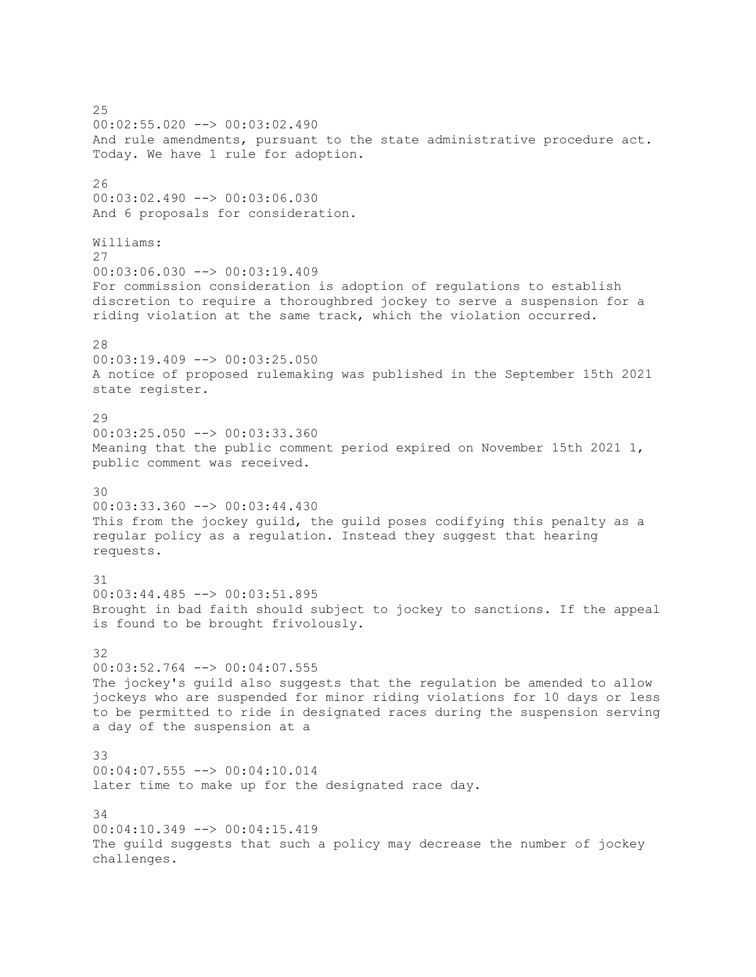25 00:02:55.020 --> 00:03:02.490 And rule amendments, pursuant to the state administrative procedure act. Today. We have 1 rule for adoption. 26 00:03:02.490 --> 00:03:06.030 And 6 proposals for consideration. Williams: 27 00:03:06.030 --> 00:03:19.409 For commission consideration is adoption of regulations to establish discretion to require a thoroughbred jockey to serve a suspension for a riding violation at the same track, which the violation occurred. 28 00:03:19.409 --> 00:03:25.050 A notice of proposed rulemaking was published in the September 15th 2021 state register. 29 00:03:25.050 --> 00:03:33.360 Meaning that the public comment period expired on November 15th 2021 1, public comment was received. 30 00:03:33.360 --> 00:03:44.430 This from the jockey guild, the guild poses codifying this penalty as a regular policy as a regulation. Instead they suggest that hearing requests. 31 00:03:44.485 --> 00:03:51.895 Brought in bad faith should subject to jockey to sanctions. If the appeal is found to be brought frivolously. 32 00:03:52.764 --> 00:04:07.555 The jockey's guild also suggests that the regulation be amended to allow jockeys who are suspended for minor riding violations for 10 days or less to be permitted to ride in designated races during the suspension serving a day of the suspension at a 33 00:04:07.555 --> 00:04:10.014 later time to make up for the designated race day. 34 00:04:10.349 --> 00:04:15.419 The guild suggests that such a policy may decrease the number of jockey challenges.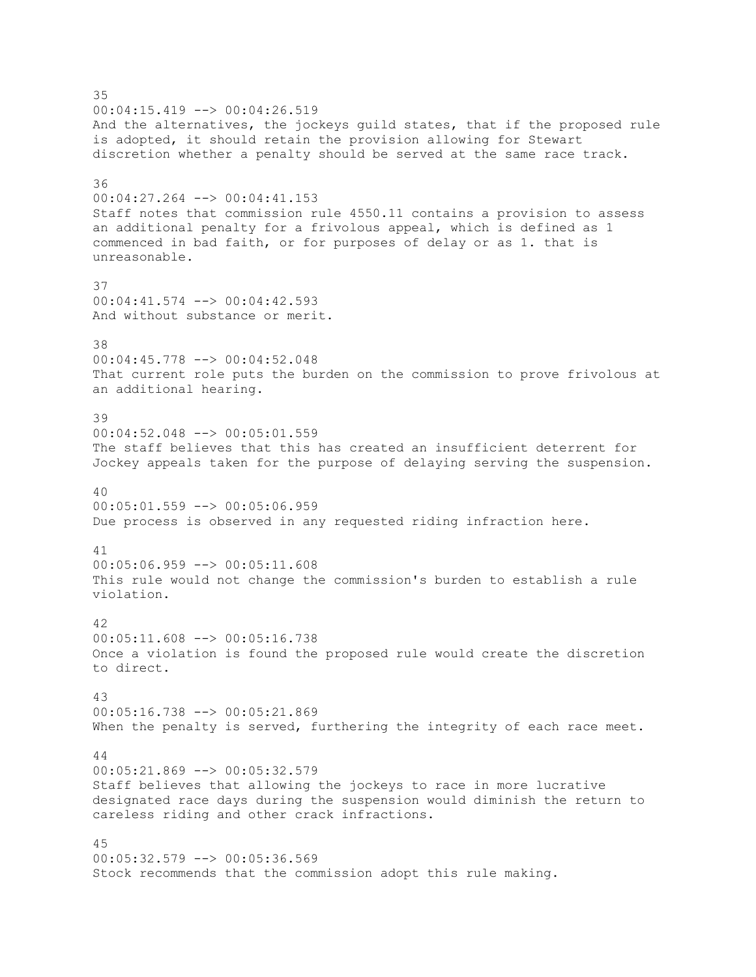35 00:04:15.419 --> 00:04:26.519 And the alternatives, the jockeys guild states, that if the proposed rule is adopted, it should retain the provision allowing for Stewart discretion whether a penalty should be served at the same race track. 36 00:04:27.264 --> 00:04:41.153 Staff notes that commission rule 4550.11 contains a provision to assess an additional penalty for a frivolous appeal, which is defined as 1 commenced in bad faith, or for purposes of delay or as 1. that is unreasonable. 37 00:04:41.574 --> 00:04:42.593 And without substance or merit. 38 00:04:45.778 --> 00:04:52.048 That current role puts the burden on the commission to prove frivolous at an additional hearing. 39  $00:04:52.048$   $\rightarrow$  00:05:01.559 The staff believes that this has created an insufficient deterrent for Jockey appeals taken for the purpose of delaying serving the suspension. 40 00:05:01.559 --> 00:05:06.959 Due process is observed in any requested riding infraction here. 41 00:05:06.959 --> 00:05:11.608 This rule would not change the commission's burden to establish a rule violation. 42 00:05:11.608 --> 00:05:16.738 Once a violation is found the proposed rule would create the discretion to direct. 43 00:05:16.738 --> 00:05:21.869 When the penalty is served, furthering the integrity of each race meet. 44 00:05:21.869 --> 00:05:32.579 Staff believes that allowing the jockeys to race in more lucrative designated race days during the suspension would diminish the return to careless riding and other crack infractions. 45 00:05:32.579 --> 00:05:36.569 Stock recommends that the commission adopt this rule making.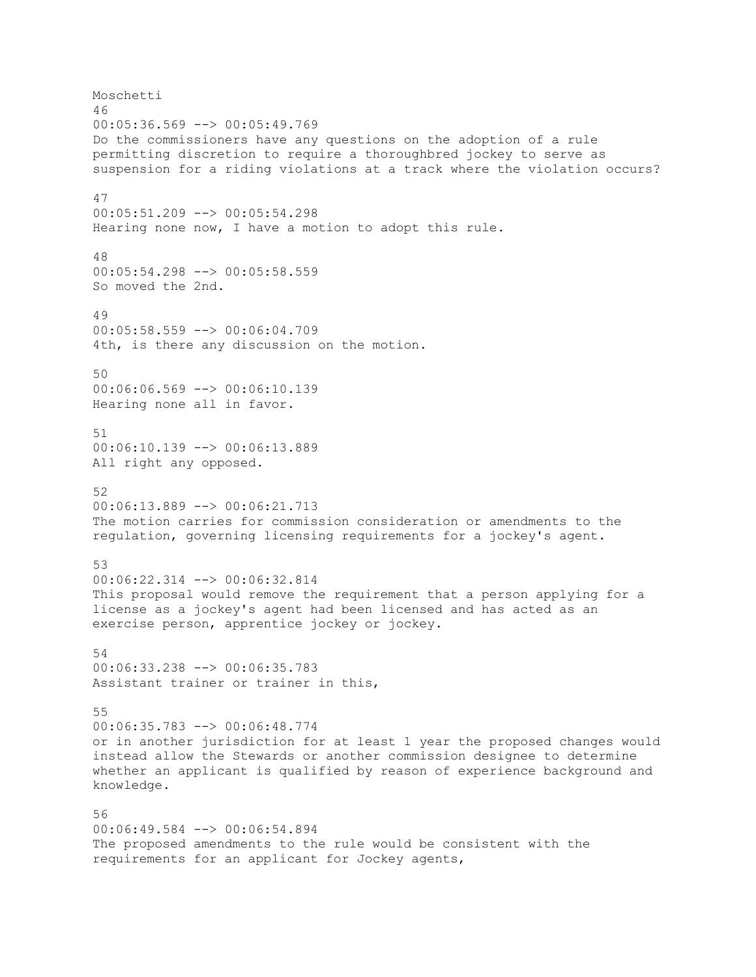Moschetti 46  $00:05:36.569$  -->  $00:05:49.769$ Do the commissioners have any questions on the adoption of a rule permitting discretion to require a thoroughbred jockey to serve as suspension for a riding violations at a track where the violation occurs? 47 00:05:51.209 --> 00:05:54.298 Hearing none now, I have a motion to adopt this rule. 48 00:05:54.298 --> 00:05:58.559 So moved the 2nd. 49 00:05:58.559 --> 00:06:04.709 4th, is there any discussion on the motion. 50 00:06:06.569 --> 00:06:10.139 Hearing none all in favor. 51 00:06:10.139 --> 00:06:13.889 All right any opposed. 52 00:06:13.889 --> 00:06:21.713 The motion carries for commission consideration or amendments to the regulation, governing licensing requirements for a jockey's agent. 53 00:06:22.314 --> 00:06:32.814 This proposal would remove the requirement that a person applying for a license as a jockey's agent had been licensed and has acted as an exercise person, apprentice jockey or jockey. 54 00:06:33.238 --> 00:06:35.783 Assistant trainer or trainer in this, 55 00:06:35.783 --> 00:06:48.774 or in another jurisdiction for at least 1 year the proposed changes would instead allow the Stewards or another commission designee to determine whether an applicant is qualified by reason of experience background and knowledge. 56 00:06:49.584 --> 00:06:54.894 The proposed amendments to the rule would be consistent with the

requirements for an applicant for Jockey agents,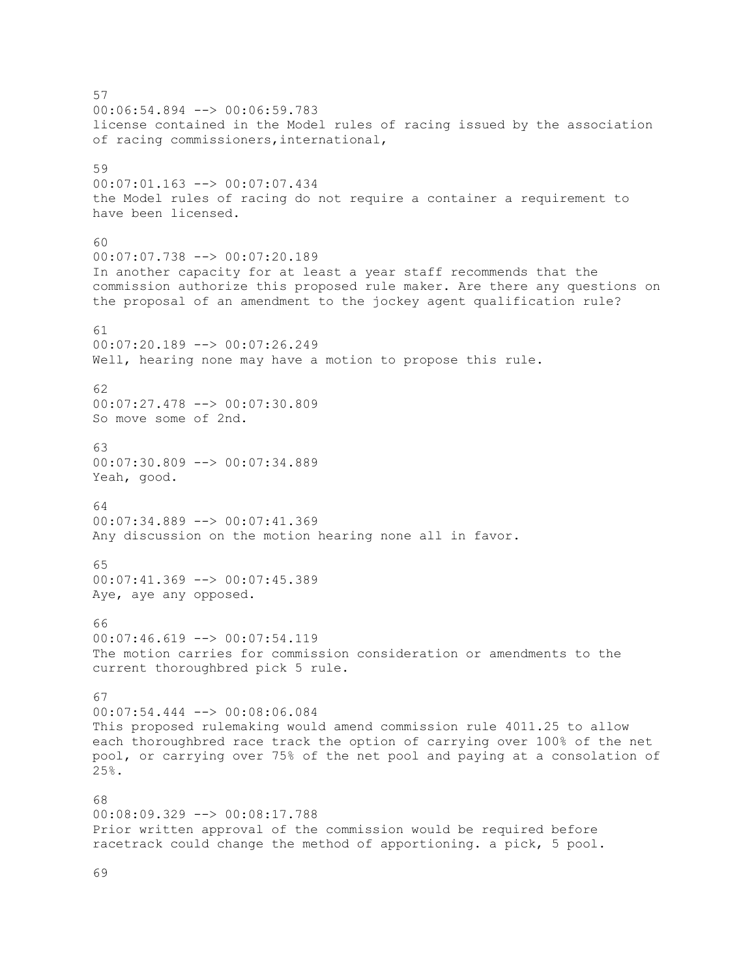57 00:06:54.894 --> 00:06:59.783 license contained in the Model rules of racing issued by the association of racing commissioners,international, 59 00:07:01.163 --> 00:07:07.434 the Model rules of racing do not require a container a requirement to have been licensed. 60 00:07:07.738 --> 00:07:20.189 In another capacity for at least a year staff recommends that the commission authorize this proposed rule maker. Are there any questions on the proposal of an amendment to the jockey agent qualification rule? 61  $00:07:20.189$  -->  $00:07:26.249$ Well, hearing none may have a motion to propose this rule. 62 00:07:27.478 --> 00:07:30.809 So move some of 2nd. 63 00:07:30.809 --> 00:07:34.889 Yeah, good. 64 00:07:34.889 --> 00:07:41.369 Any discussion on the motion hearing none all in favor. 65 00:07:41.369 --> 00:07:45.389 Aye, aye any opposed. 66 00:07:46.619 --> 00:07:54.119 The motion carries for commission consideration or amendments to the current thoroughbred pick 5 rule. 67 00:07:54.444 --> 00:08:06.084 This proposed rulemaking would amend commission rule 4011.25 to allow each thoroughbred race track the option of carrying over 100% of the net pool, or carrying over 75% of the net pool and paying at a consolation of 25%.  $68$ 00:08:09.329 --> 00:08:17.788 Prior written approval of the commission would be required before racetrack could change the method of apportioning. a pick, 5 pool.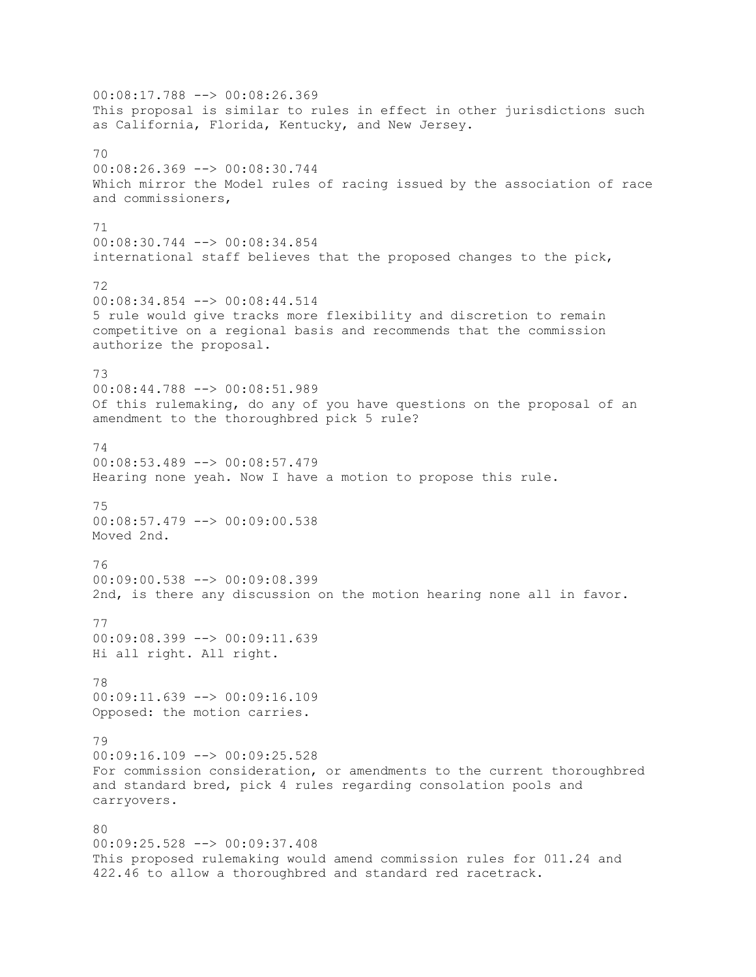00:08:17.788 --> 00:08:26.369 This proposal is similar to rules in effect in other jurisdictions such as California, Florida, Kentucky, and New Jersey. 70 00:08:26.369 --> 00:08:30.744 Which mirror the Model rules of racing issued by the association of race and commissioners, 71 00:08:30.744 --> 00:08:34.854 international staff believes that the proposed changes to the pick, 72 00:08:34.854 --> 00:08:44.514 5 rule would give tracks more flexibility and discretion to remain competitive on a regional basis and recommends that the commission authorize the proposal. 73 00:08:44.788 --> 00:08:51.989 Of this rulemaking, do any of you have questions on the proposal of an amendment to the thoroughbred pick 5 rule? 74 00:08:53.489 --> 00:08:57.479 Hearing none yeah. Now I have a motion to propose this rule. 75 00:08:57.479 --> 00:09:00.538 Moved 2nd. 76 00:09:00.538 --> 00:09:08.399 2nd, is there any discussion on the motion hearing none all in favor. 77 00:09:08.399 --> 00:09:11.639 Hi all right. All right. 78 00:09:11.639 --> 00:09:16.109 Opposed: the motion carries. 79  $00:09:16.109$  -->  $00:09:25.528$ For commission consideration, or amendments to the current thoroughbred and standard bred, pick 4 rules regarding consolation pools and carryovers. 80 00:09:25.528 --> 00:09:37.408 This proposed rulemaking would amend commission rules for 011.24 and 422.46 to allow a thoroughbred and standard red racetrack.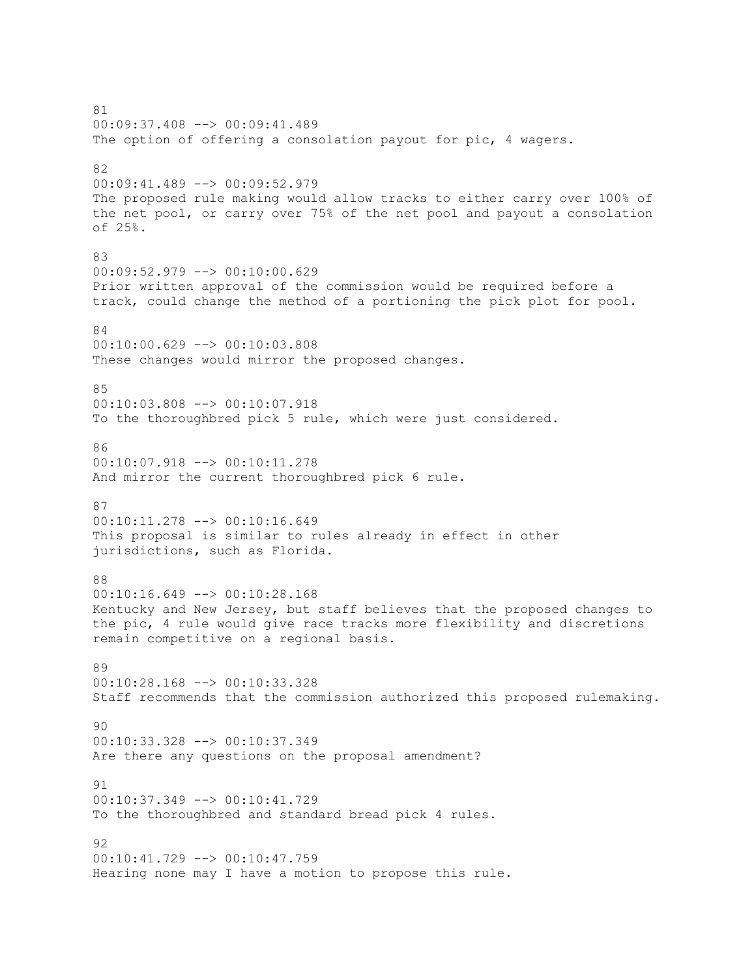81 00:09:37.408 --> 00:09:41.489 The option of offering a consolation payout for pic, 4 wagers. 82 00:09:41.489 --> 00:09:52.979 The proposed rule making would allow tracks to either carry over 100% of the net pool, or carry over 75% of the net pool and payout a consolation of 25%. 83 00:09:52.979 --> 00:10:00.629 Prior written approval of the commission would be required before a track, could change the method of a portioning the pick plot for pool. 84 00:10:00.629 --> 00:10:03.808 These changes would mirror the proposed changes. 85 00:10:03.808 --> 00:10:07.918 To the thoroughbred pick 5 rule, which were just considered. 86 00:10:07.918 --> 00:10:11.278 And mirror the current thoroughbred pick 6 rule. 87 00:10:11.278 --> 00:10:16.649 This proposal is similar to rules already in effect in other jurisdictions, such as Florida. 88 00:10:16.649 --> 00:10:28.168 Kentucky and New Jersey, but staff believes that the proposed changes to the pic, 4 rule would give race tracks more flexibility and discretions remain competitive on a regional basis. 89 00:10:28.168 --> 00:10:33.328 Staff recommends that the commission authorized this proposed rulemaking. 90 00:10:33.328 --> 00:10:37.349 Are there any questions on the proposal amendment? 91 00:10:37.349 --> 00:10:41.729 To the thoroughbred and standard bread pick 4 rules. 92 00:10:41.729 --> 00:10:47.759 Hearing none may I have a motion to propose this rule.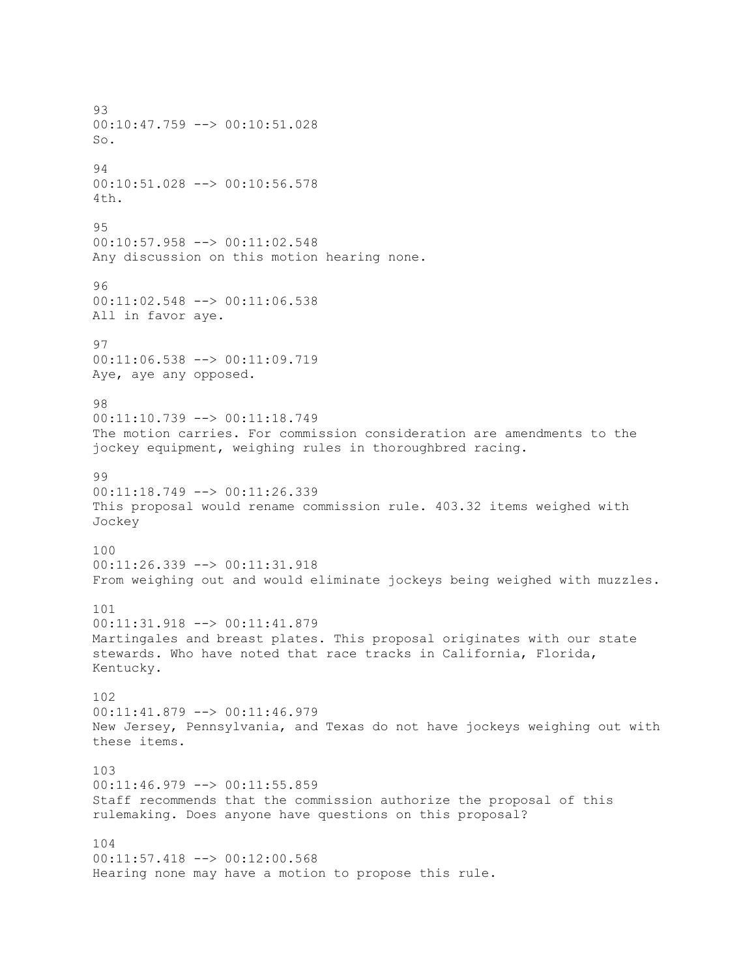93  $00:10:47.759$   $\longrightarrow$   $00:10:51.028$ So. 94 00:10:51.028 --> 00:10:56.578 4th.  $95$ 00:10:57.958 --> 00:11:02.548 Any discussion on this motion hearing none. 96 00:11:02.548 --> 00:11:06.538 All in favor aye. 97 00:11:06.538 --> 00:11:09.719 Aye, aye any opposed. 98 00:11:10.739 --> 00:11:18.749 The motion carries. For commission consideration are amendments to the jockey equipment, weighing rules in thoroughbred racing. 99 00:11:18.749 --> 00:11:26.339 This proposal would rename commission rule. 403.32 items weighed with Jockey 100 00:11:26.339 --> 00:11:31.918 From weighing out and would eliminate jockeys being weighed with muzzles. 101 00:11:31.918 --> 00:11:41.879 Martingales and breast plates. This proposal originates with our state stewards. Who have noted that race tracks in California, Florida, Kentucky. 102 00:11:41.879 --> 00:11:46.979 New Jersey, Pennsylvania, and Texas do not have jockeys weighing out with these items. 103 00:11:46.979 --> 00:11:55.859 Staff recommends that the commission authorize the proposal of this rulemaking. Does anyone have questions on this proposal? 104 00:11:57.418 --> 00:12:00.568 Hearing none may have a motion to propose this rule.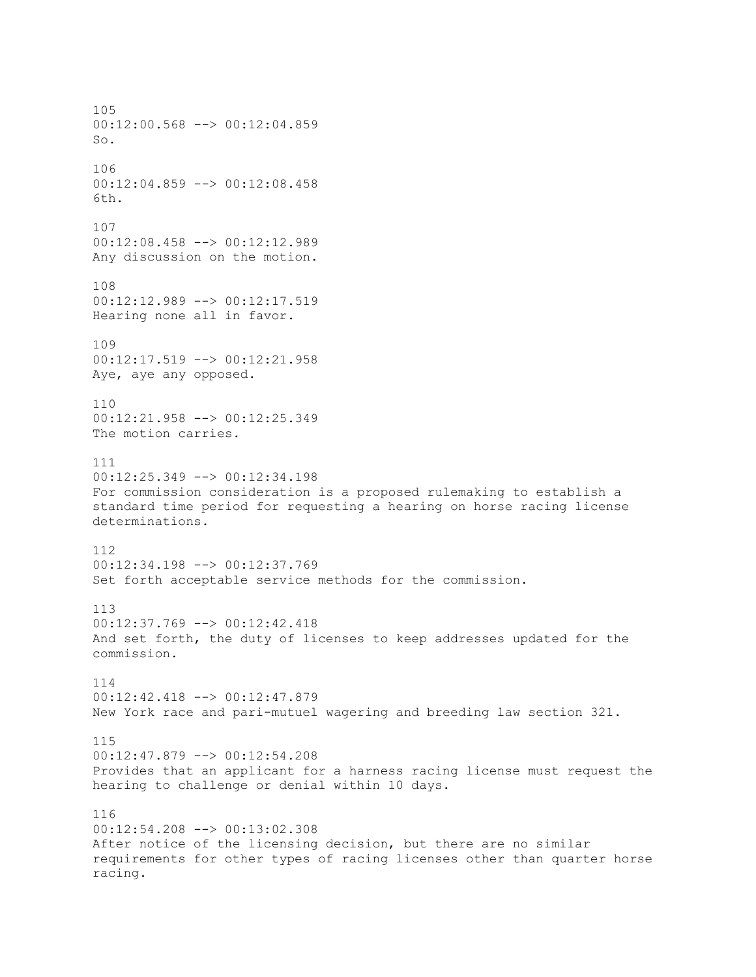105  $00:12:00.568$  -->  $00:12:04.859$ So. 106 00:12:04.859 --> 00:12:08.458 6th. 107 00:12:08.458 --> 00:12:12.989 Any discussion on the motion. 108 00:12:12.989 --> 00:12:17.519 Hearing none all in favor. 109 00:12:17.519 --> 00:12:21.958 Aye, aye any opposed. 110 00:12:21.958 --> 00:12:25.349 The motion carries. 111 00:12:25.349 --> 00:12:34.198 For commission consideration is a proposed rulemaking to establish a standard time period for requesting a hearing on horse racing license determinations. 112 00:12:34.198 --> 00:12:37.769 Set forth acceptable service methods for the commission. 113 00:12:37.769 --> 00:12:42.418 And set forth, the duty of licenses to keep addresses updated for the commission. 114 00:12:42.418 --> 00:12:47.879 New York race and pari-mutuel wagering and breeding law section 321. 115  $00:12:47.879$  -->  $00:12:54.208$ Provides that an applicant for a harness racing license must request the hearing to challenge or denial within 10 days. 116 00:12:54.208 --> 00:13:02.308 After notice of the licensing decision, but there are no similar requirements for other types of racing licenses other than quarter horse racing.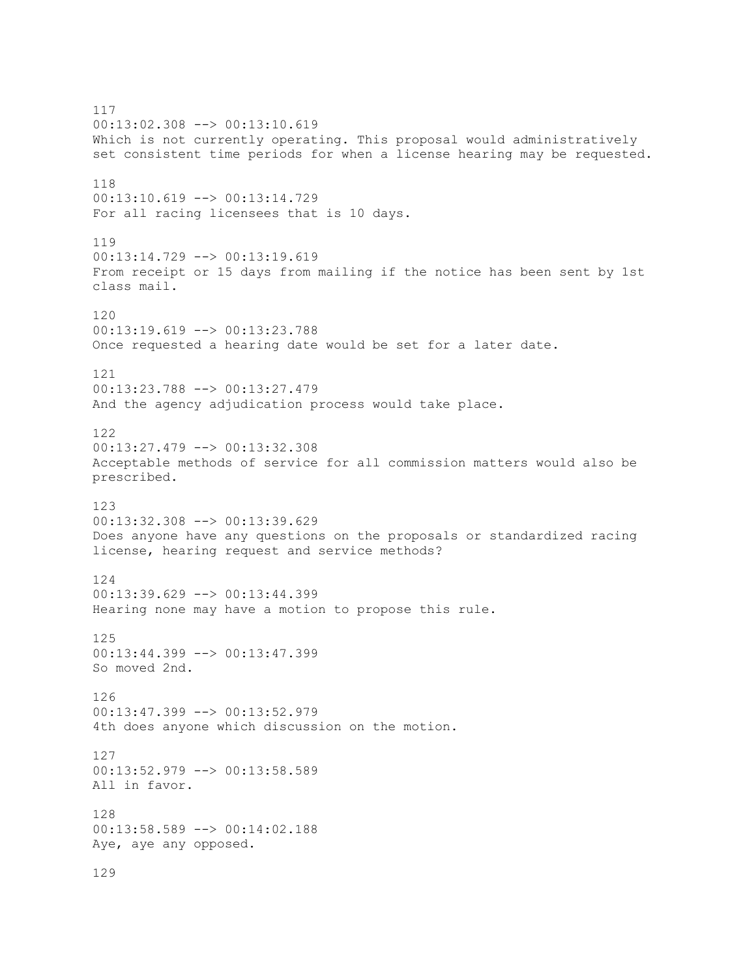117 00:13:02.308 --> 00:13:10.619 Which is not currently operating. This proposal would administratively set consistent time periods for when a license hearing may be requested. 118 00:13:10.619 --> 00:13:14.729 For all racing licensees that is 10 days. 119 00:13:14.729 --> 00:13:19.619 From receipt or 15 days from mailing if the notice has been sent by 1st class mail. 120 00:13:19.619 --> 00:13:23.788 Once requested a hearing date would be set for a later date. 121 00:13:23.788 --> 00:13:27.479 And the agency adjudication process would take place. 122 00:13:27.479 --> 00:13:32.308 Acceptable methods of service for all commission matters would also be prescribed. 123 00:13:32.308 --> 00:13:39.629 Does anyone have any questions on the proposals or standardized racing license, hearing request and service methods? 124 00:13:39.629 --> 00:13:44.399 Hearing none may have a motion to propose this rule. 125 00:13:44.399 --> 00:13:47.399 So moved 2nd. 126 00:13:47.399 --> 00:13:52.979 4th does anyone which discussion on the motion. 127 00:13:52.979 --> 00:13:58.589 All in favor. 128 00:13:58.589 --> 00:14:02.188 Aye, aye any opposed. 129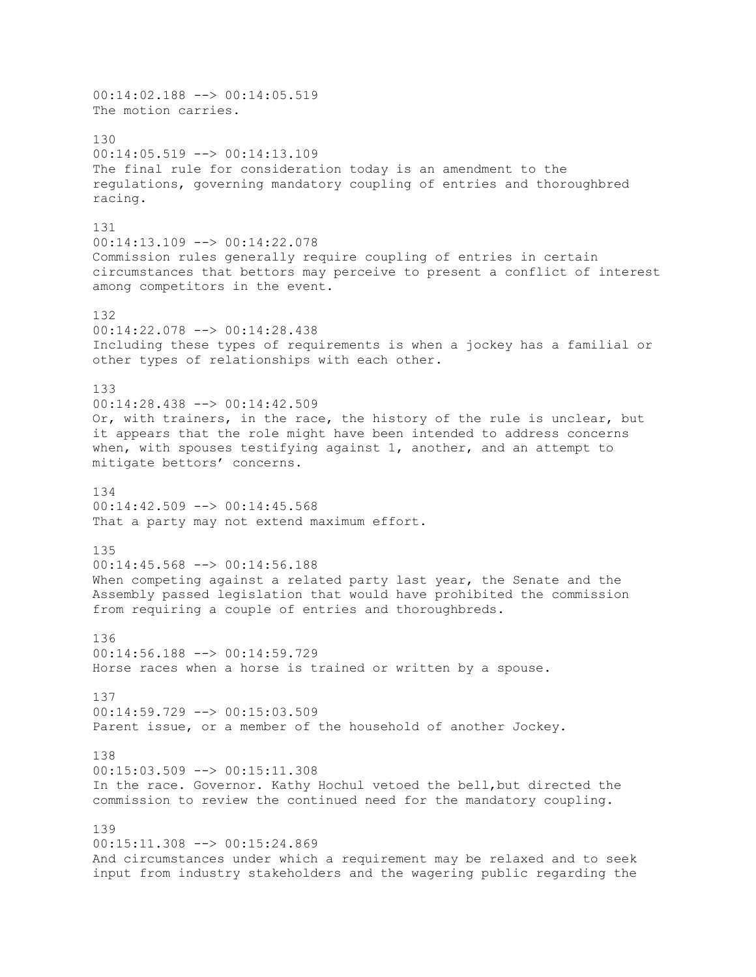00:14:02.188 --> 00:14:05.519 The motion carries. 130 00:14:05.519 --> 00:14:13.109 The final rule for consideration today is an amendment to the regulations, governing mandatory coupling of entries and thoroughbred racing. 131 00:14:13.109 --> 00:14:22.078 Commission rules generally require coupling of entries in certain circumstances that bettors may perceive to present a conflict of interest among competitors in the event. 132 00:14:22.078 --> 00:14:28.438 Including these types of requirements is when a jockey has a familial or other types of relationships with each other. 133 00:14:28.438 --> 00:14:42.509 Or, with trainers, in the race, the history of the rule is unclear, but it appears that the role might have been intended to address concerns when, with spouses testifying against 1, another, and an attempt to mitigate bettors' concerns. 134 00:14:42.509 --> 00:14:45.568 That a party may not extend maximum effort. 135 00:14:45.568 --> 00:14:56.188 When competing against a related party last year, the Senate and the Assembly passed legislation that would have prohibited the commission from requiring a couple of entries and thoroughbreds. 136 00:14:56.188 --> 00:14:59.729 Horse races when a horse is trained or written by a spouse. 137 00:14:59.729 --> 00:15:03.509 Parent issue, or a member of the household of another Jockey. 138 00:15:03.509 --> 00:15:11.308 In the race. Governor. Kathy Hochul vetoed the bell,but directed the commission to review the continued need for the mandatory coupling. 139  $00:15:11.308$   $\rightarrow$   $00:15:24.869$ And circumstances under which a requirement may be relaxed and to seek input from industry stakeholders and the wagering public regarding the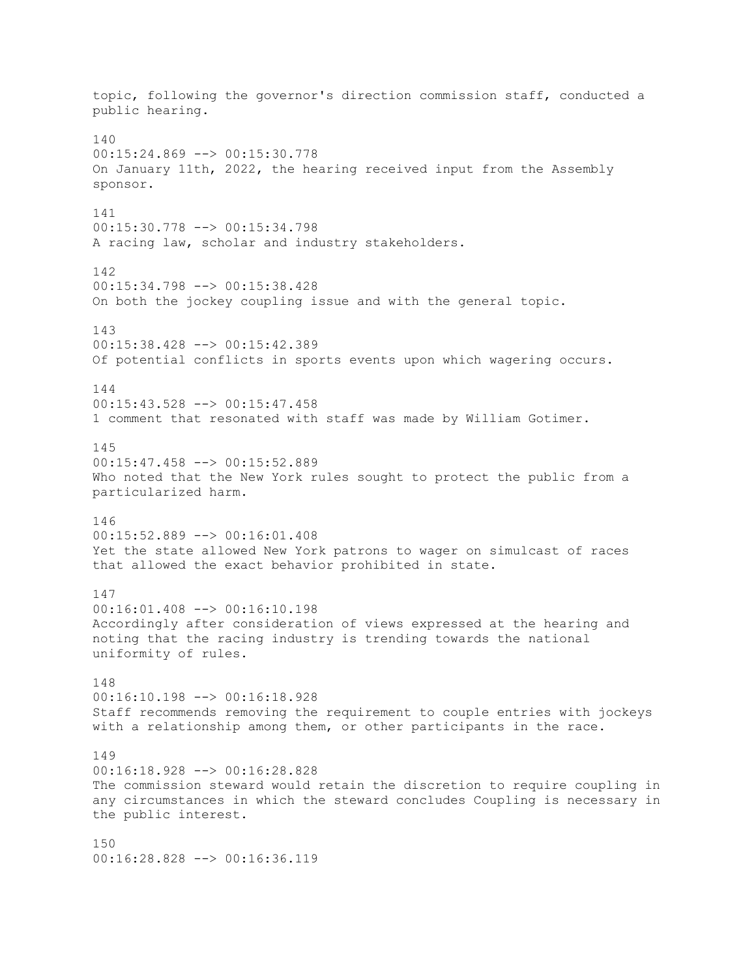topic, following the governor's direction commission staff, conducted a public hearing. 140 00:15:24.869 --> 00:15:30.778 On January 11th, 2022, the hearing received input from the Assembly sponsor. 141 00:15:30.778 --> 00:15:34.798 A racing law, scholar and industry stakeholders. 142 00:15:34.798 --> 00:15:38.428 On both the jockey coupling issue and with the general topic. 143 00:15:38.428 --> 00:15:42.389 Of potential conflicts in sports events upon which wagering occurs. 144 00:15:43.528 --> 00:15:47.458 1 comment that resonated with staff was made by William Gotimer. 145 00:15:47.458 --> 00:15:52.889 Who noted that the New York rules sought to protect the public from a particularized harm. 146 00:15:52.889 --> 00:16:01.408 Yet the state allowed New York patrons to wager on simulcast of races that allowed the exact behavior prohibited in state. 147 00:16:01.408 --> 00:16:10.198 Accordingly after consideration of views expressed at the hearing and noting that the racing industry is trending towards the national uniformity of rules. 148 00:16:10.198 --> 00:16:18.928 Staff recommends removing the requirement to couple entries with jockeys with a relationship among them, or other participants in the race. 149 00:16:18.928 --> 00:16:28.828 The commission steward would retain the discretion to require coupling in any circumstances in which the steward concludes Coupling is necessary in the public interest. 150 00:16:28.828 --> 00:16:36.119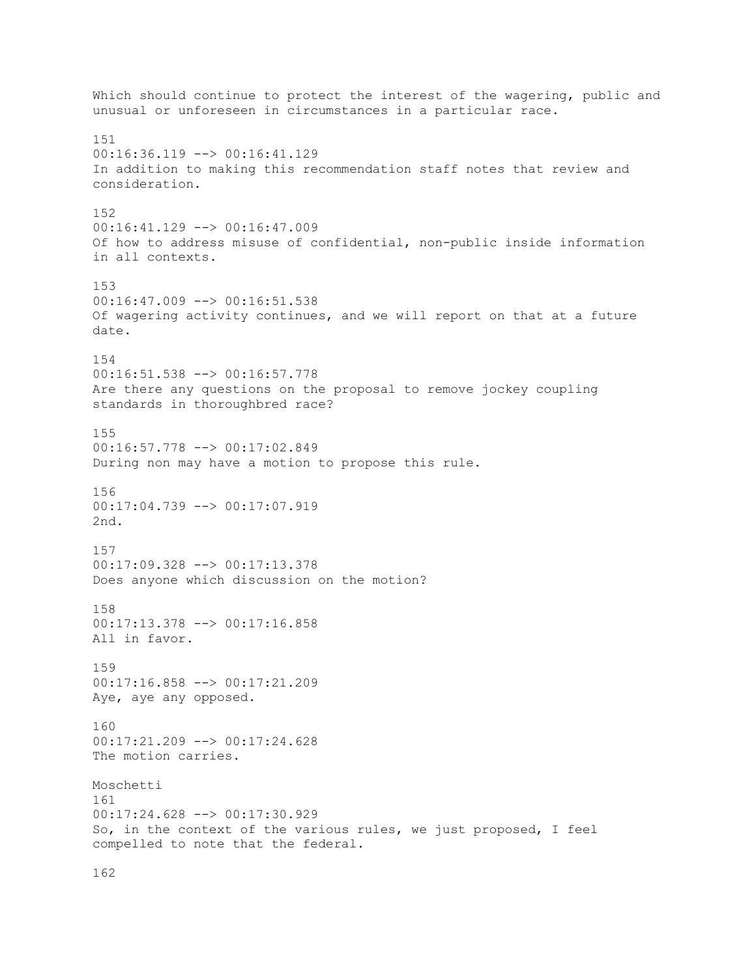Which should continue to protect the interest of the wagering, public and unusual or unforeseen in circumstances in a particular race. 151 00:16:36.119 --> 00:16:41.129 In addition to making this recommendation staff notes that review and consideration. 152  $00:16:41.129$  -->  $00:16:47.009$ Of how to address misuse of confidential, non-public inside information in all contexts. 153 00:16:47.009 --> 00:16:51.538 Of wagering activity continues, and we will report on that at a future date. 154 00:16:51.538 --> 00:16:57.778 Are there any questions on the proposal to remove jockey coupling standards in thoroughbred race? 155 00:16:57.778 --> 00:17:02.849 During non may have a motion to propose this rule. 156 00:17:04.739 --> 00:17:07.919 2nd. 157 00:17:09.328 --> 00:17:13.378 Does anyone which discussion on the motion? 158 00:17:13.378 --> 00:17:16.858 All in favor. 159 00:17:16.858 --> 00:17:21.209 Aye, aye any opposed. 160 00:17:21.209 --> 00:17:24.628 The motion carries. Moschetti 161 00:17:24.628 --> 00:17:30.929 So, in the context of the various rules, we just proposed, I feel compelled to note that the federal.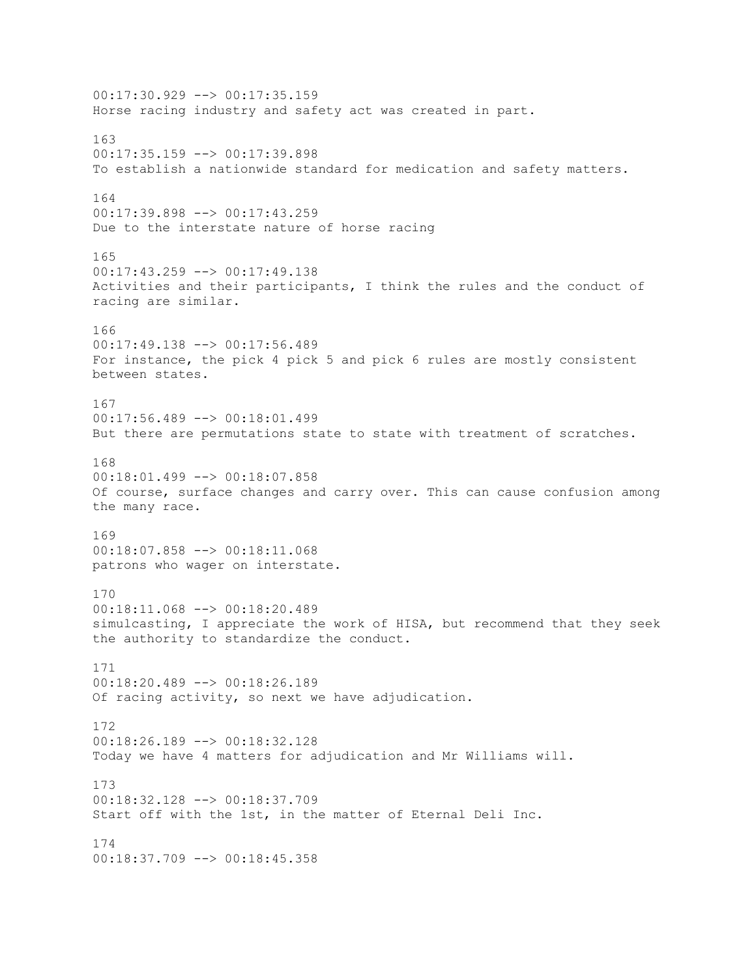00:17:30.929 --> 00:17:35.159 Horse racing industry and safety act was created in part. 163 00:17:35.159 --> 00:17:39.898 To establish a nationwide standard for medication and safety matters. 164 00:17:39.898 --> 00:17:43.259 Due to the interstate nature of horse racing 165 00:17:43.259 --> 00:17:49.138 Activities and their participants, I think the rules and the conduct of racing are similar. 166 00:17:49.138 --> 00:17:56.489 For instance, the pick 4 pick 5 and pick 6 rules are mostly consistent between states. 167 00:17:56.489 --> 00:18:01.499 But there are permutations state to state with treatment of scratches. 168 00:18:01.499 --> 00:18:07.858 Of course, surface changes and carry over. This can cause confusion among the many race. 169 00:18:07.858 --> 00:18:11.068 patrons who wager on interstate. 170 00:18:11.068 --> 00:18:20.489 simulcasting, I appreciate the work of HISA, but recommend that they seek the authority to standardize the conduct. 171 00:18:20.489 --> 00:18:26.189 Of racing activity, so next we have adjudication. 172 00:18:26.189 --> 00:18:32.128 Today we have 4 matters for adjudication and Mr Williams will. 173 00:18:32.128 --> 00:18:37.709 Start off with the 1st, in the matter of Eternal Deli Inc. 174  $00:18:37.709$  -->  $00:18:45.358$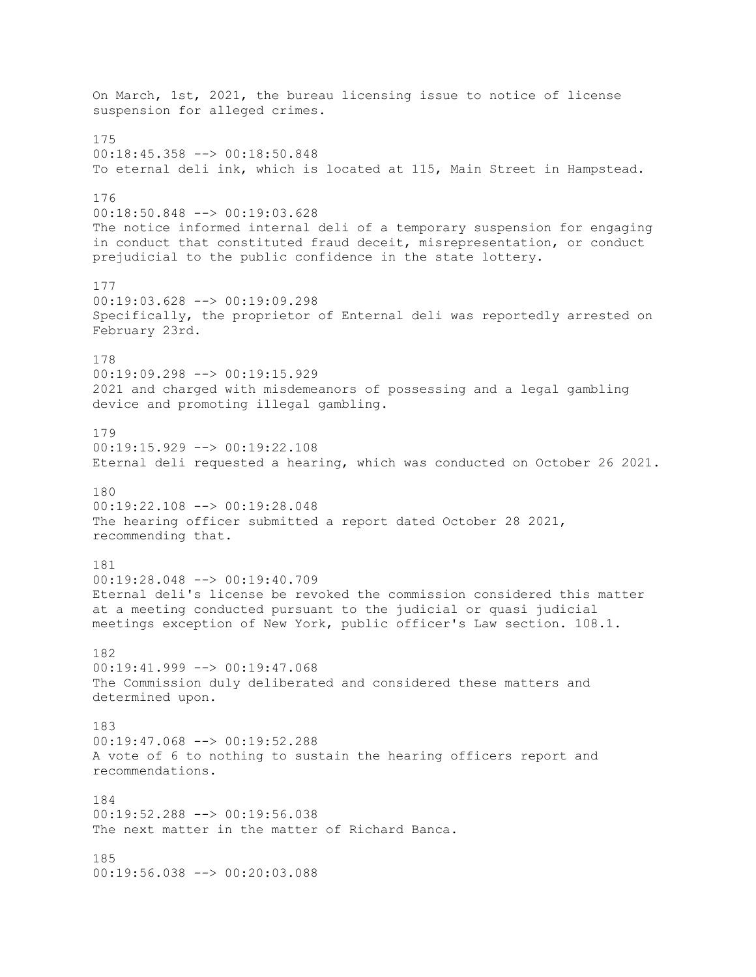On March, 1st, 2021, the bureau licensing issue to notice of license suspension for alleged crimes. 175 00:18:45.358 --> 00:18:50.848 To eternal deli ink, which is located at 115, Main Street in Hampstead. 176 00:18:50.848 --> 00:19:03.628 The notice informed internal deli of a temporary suspension for engaging in conduct that constituted fraud deceit, misrepresentation, or conduct prejudicial to the public confidence in the state lottery. 177 00:19:03.628 --> 00:19:09.298 Specifically, the proprietor of Enternal deli was reportedly arrested on February 23rd. 178 00:19:09.298 --> 00:19:15.929 2021 and charged with misdemeanors of possessing and a legal gambling device and promoting illegal gambling. 179  $00:19:15.929$  -->  $00:19:22.108$ Eternal deli requested a hearing, which was conducted on October 26 2021. 180 00:19:22.108 --> 00:19:28.048 The hearing officer submitted a report dated October 28 2021, recommending that. 181 00:19:28.048 --> 00:19:40.709 Eternal deli's license be revoked the commission considered this matter at a meeting conducted pursuant to the judicial or quasi judicial meetings exception of New York, public officer's Law section. 108.1. 182 00:19:41.999 --> 00:19:47.068 The Commission duly deliberated and considered these matters and determined upon. 183 00:19:47.068 --> 00:19:52.288 A vote of 6 to nothing to sustain the hearing officers report and recommendations. 184 00:19:52.288 --> 00:19:56.038 The next matter in the matter of Richard Banca. 185 00:19:56.038 --> 00:20:03.088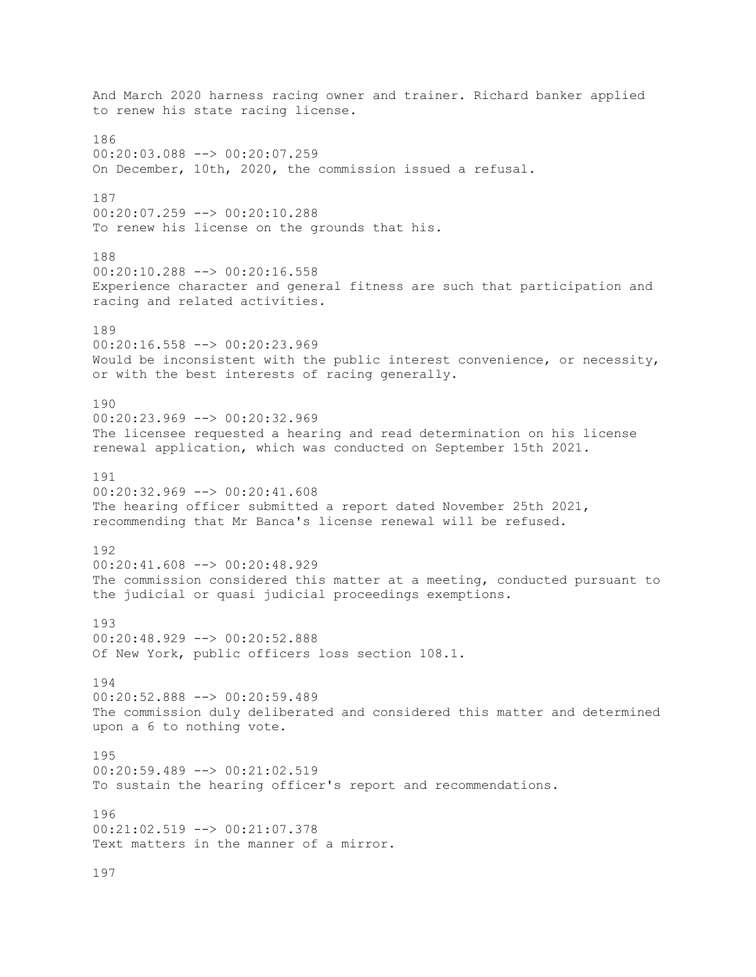And March 2020 harness racing owner and trainer. Richard banker applied to renew his state racing license. 186 00:20:03.088 --> 00:20:07.259 On December, 10th, 2020, the commission issued a refusal. 187 00:20:07.259 --> 00:20:10.288 To renew his license on the grounds that his. 188 00:20:10.288 --> 00:20:16.558 Experience character and general fitness are such that participation and racing and related activities. 189 00:20:16.558 --> 00:20:23.969 Would be inconsistent with the public interest convenience, or necessity, or with the best interests of racing generally. 190 00:20:23.969 --> 00:20:32.969 The licensee requested a hearing and read determination on his license renewal application, which was conducted on September 15th 2021. 191 00:20:32.969 --> 00:20:41.608 The hearing officer submitted a report dated November 25th 2021, recommending that Mr Banca's license renewal will be refused. 192 00:20:41.608 --> 00:20:48.929 The commission considered this matter at a meeting, conducted pursuant to the judicial or quasi judicial proceedings exemptions. 193 00:20:48.929 --> 00:20:52.888 Of New York, public officers loss section 108.1. 194 00:20:52.888 --> 00:20:59.489 The commission duly deliberated and considered this matter and determined upon a 6 to nothing vote. 195 00:20:59.489 --> 00:21:02.519 To sustain the hearing officer's report and recommendations. 196 00:21:02.519 --> 00:21:07.378 Text matters in the manner of a mirror. 197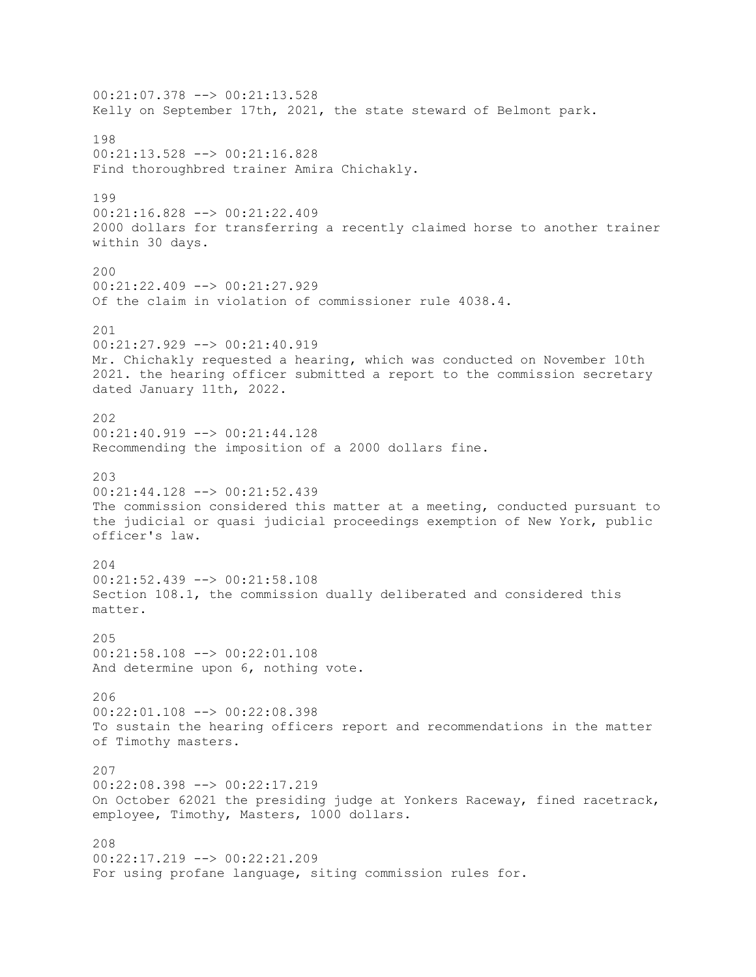00:21:07.378 --> 00:21:13.528 Kelly on September 17th, 2021, the state steward of Belmont park. 198 00:21:13.528 --> 00:21:16.828 Find thoroughbred trainer Amira Chichakly. 199 00:21:16.828 --> 00:21:22.409 2000 dollars for transferring a recently claimed horse to another trainer within 30 days. 200 00:21:22.409 --> 00:21:27.929 Of the claim in violation of commissioner rule 4038.4. 201 00:21:27.929 --> 00:21:40.919 Mr. Chichakly requested a hearing, which was conducted on November 10th 2021. the hearing officer submitted a report to the commission secretary dated January 11th, 2022. 202  $00:21:40.919$  -->  $00:21:44.128$ Recommending the imposition of a 2000 dollars fine. 203 00:21:44.128 --> 00:21:52.439 The commission considered this matter at a meeting, conducted pursuant to the judicial or quasi judicial proceedings exemption of New York, public officer's law. 204 00:21:52.439 --> 00:21:58.108 Section 108.1, the commission dually deliberated and considered this matter. 205 00:21:58.108 --> 00:22:01.108 And determine upon 6, nothing vote. 206 00:22:01.108 --> 00:22:08.398 To sustain the hearing officers report and recommendations in the matter of Timothy masters. 207 00:22:08.398 --> 00:22:17.219 On October 62021 the presiding judge at Yonkers Raceway, fined racetrack, employee, Timothy, Masters, 1000 dollars. 208 00:22:17.219 --> 00:22:21.209 For using profane language, siting commission rules for.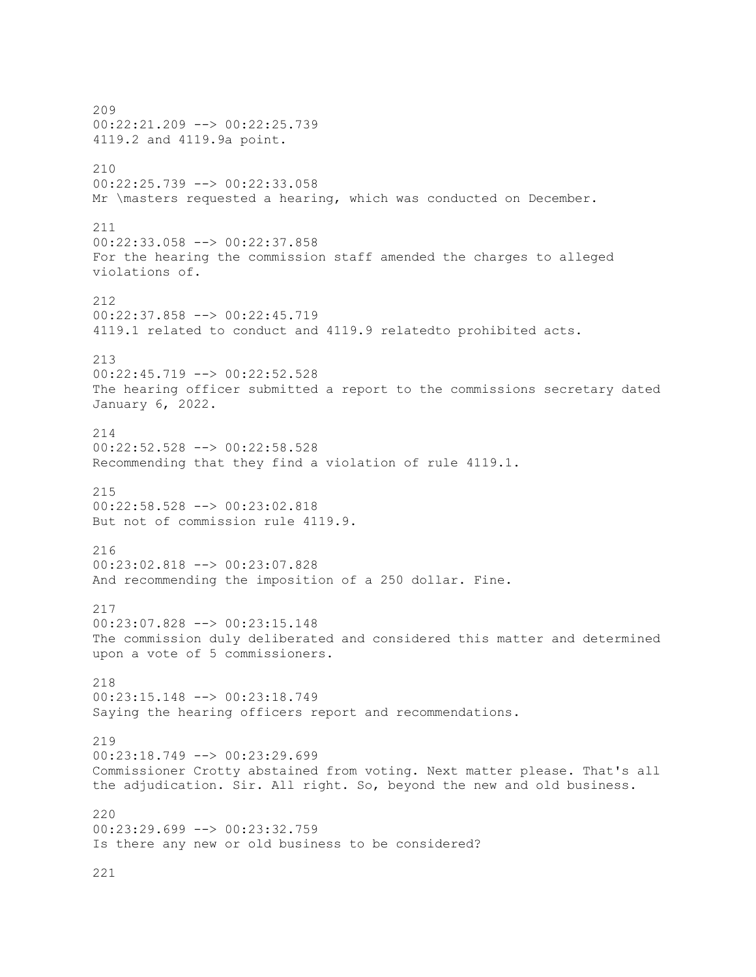209 00:22:21.209 --> 00:22:25.739 4119.2 and 4119.9a point. 210 00:22:25.739 --> 00:22:33.058 Mr \masters requested a hearing, which was conducted on December. 211 00:22:33.058 --> 00:22:37.858 For the hearing the commission staff amended the charges to alleged violations of. 212 00:22:37.858 --> 00:22:45.719 4119.1 related to conduct and 4119.9 relatedto prohibited acts. 213 00:22:45.719 --> 00:22:52.528 The hearing officer submitted a report to the commissions secretary dated January 6, 2022. 214 00:22:52.528 --> 00:22:58.528 Recommending that they find a violation of rule 4119.1. 215 00:22:58.528 --> 00:23:02.818 But not of commission rule 4119.9. 216 00:23:02.818 --> 00:23:07.828 And recommending the imposition of a 250 dollar. Fine. 217 00:23:07.828 --> 00:23:15.148 The commission duly deliberated and considered this matter and determined upon a vote of 5 commissioners. 218 00:23:15.148 --> 00:23:18.749 Saying the hearing officers report and recommendations. 219  $00:23:18.749$  -->  $00:23:29.699$ Commissioner Crotty abstained from voting. Next matter please. That's all the adjudication. Sir. All right. So, beyond the new and old business. 220 00:23:29.699 --> 00:23:32.759 Is there any new or old business to be considered?

221